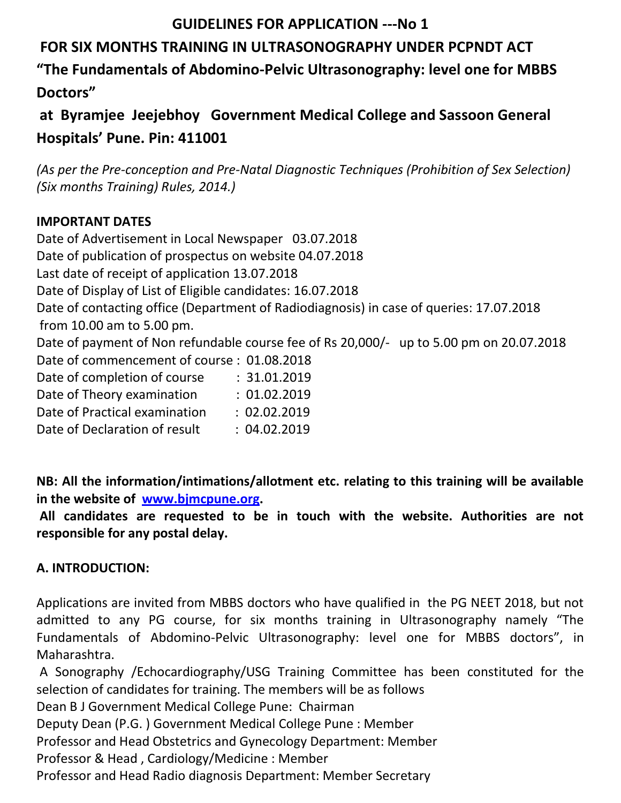## **GUIDELINES FOR APPLICATION ---No 1**

## **FOR SIX MONTHS TRAINING IN ULTRASONOGRAPHY UNDER PCPNDT ACT**

**"The Fundamentals of Abdomino-Pelvic Ultrasonography: level one for MBBS Doctors"** 

**at Byramjee Jeejebhoy Government Medical College and Sassoon General Hospitals' Pune. Pin: 411001**

*(As per the Pre-conception and Pre-Natal Diagnostic Techniques (Prohibition of Sex Selection) (Six months Training) Rules, 2014.)* 

### **IMPORTANT DATES**

Date of Advertisement in Local Newspaper 03.07.2018 Date of publication of prospectus on website 04.07.2018 Last date of receipt of application 13.07.2018 Date of Display of List of Eligible candidates: 16.07.2018 Date of contacting office (Department of Radiodiagnosis) in case of queries: 17.07.2018 from 10.00 am to 5.00 pm. Date of payment of Non refundable course fee of Rs 20,000/- up to 5.00 pm on 20.07.2018 Date of commencement of course : 01.08.2018 Date of completion of course : 31.01.2019 Date of Theory examination : 01.02.2019 Date of Practical examination : 02.02.2019 Date of Declaration of result : 04.02.2019

**NB: All the information/intimations/allotment etc. relating to this training will be available in the website of [www.bjmcpune.org.](http://www.bjmcpune.org/)**

**All candidates are requested to be in touch with the website. Authorities are not responsible for any postal delay.** 

## **A. INTRODUCTION:**

Applications are invited from MBBS doctors who have qualified in the PG NEET 2018, but not admitted to any PG course, for six months training in Ultrasonography namely "The Fundamentals of Abdomino-Pelvic Ultrasonography: level one for MBBS doctors", in Maharashtra.

A Sonography /Echocardiography/USG Training Committee has been constituted for the selection of candidates for training. The members will be as follows

Dean B J Government Medical College Pune: Chairman

Deputy Dean (P.G. ) Government Medical College Pune : Member

Professor and Head Obstetrics and Gynecology Department: Member

Professor & Head , Cardiology/Medicine : Member

Professor and Head Radio diagnosis Department: Member Secretary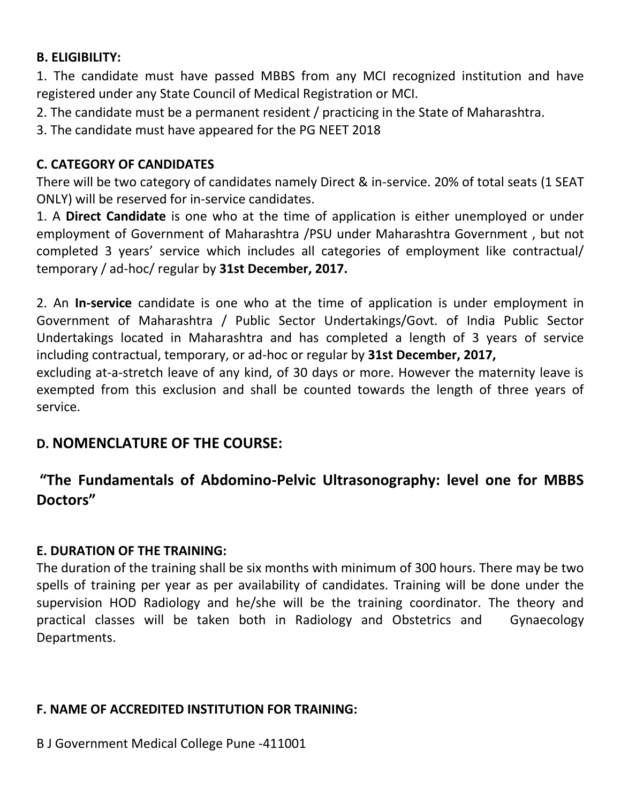### **B. ELIGIBILITY:**

1. The candidate must have passed MBBS from any MCI recognized institution and have registered under any State Council of Medical Registration or MCI.

2. The candidate must be a permanent resident / practicing in the State of Maharashtra.

3. The candidate must have appeared for the PG NEET 2018

### **C. CATEGORY OF CANDIDATES**

There will be two category of candidates namely Direct & in-service. 20% of total seats (1 SEAT ONLY) will be reserved for in-service candidates.

1. A **Direct Candidate** is one who at the time of application is either unemployed or under employment of Government of Maharashtra /PSU under Maharashtra Government , but not completed 3 years' service which includes all categories of employment like contractual/ temporary / ad-hoc/ regular by **31st December, 2017.** 

2. An **In-service** candidate is one who at the time of application is under employment in Government of Maharashtra / Public Sector Undertakings/Govt. of India Public Sector Undertakings located in Maharashtra and has completed a length of 3 years of service including contractual, temporary, or ad-hoc or regular by **31st December, 2017,** 

excluding at-a-stretch leave of any kind, of 30 days or more. However the maternity leave is exempted from this exclusion and shall be counted towards the length of three years of service.

## **D. NOMENCLATURE OF THE COURSE:**

## **"The Fundamentals of Abdomino-Pelvic Ultrasonography: level one for MBBS Doctors"**

## **E. DURATION OF THE TRAINING:**

The duration of the training shall be six months with minimum of 300 hours. There may be two spells of training per year as per availability of candidates. Training will be done under the supervision HOD Radiology and he/she will be the training coordinator. The theory and practical classes will be taken both in Radiology and Obstetrics and Gynaecology Departments.

### **F. NAME OF ACCREDITED INSTITUTION FOR TRAINING:**

B J Government Medical College Pune -411001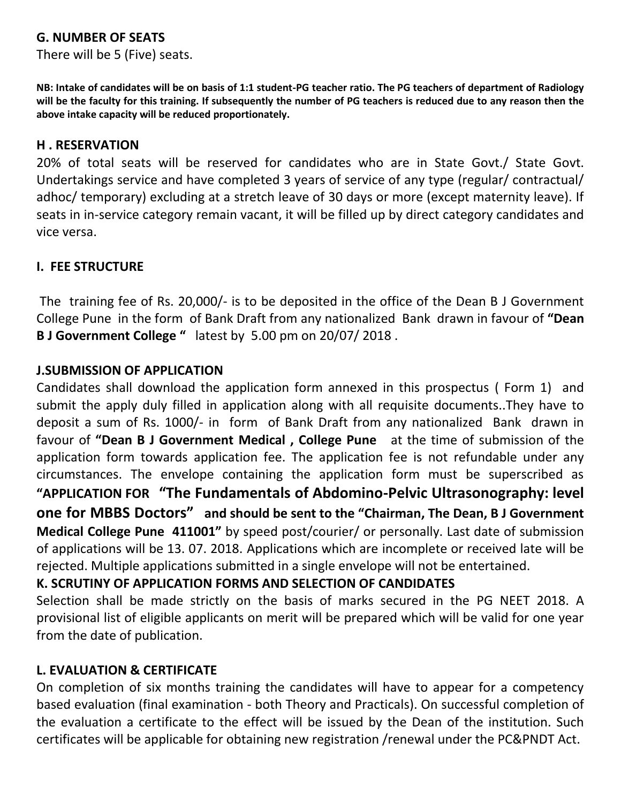### **G. NUMBER OF SEATS**

There will be 5 (Five) seats.

**NB: Intake of candidates will be on basis of 1:1 student-PG teacher ratio. The PG teachers of department of Radiology will be the faculty for this training. If subsequently the number of PG teachers is reduced due to any reason then the above intake capacity will be reduced proportionately.**

### **H . RESERVATION**

20% of total seats will be reserved for candidates who are in State Govt./ State Govt. Undertakings service and have completed 3 years of service of any type (regular/ contractual/ adhoc/ temporary) excluding at a stretch leave of 30 days or more (except maternity leave). If seats in in-service category remain vacant, it will be filled up by direct category candidates and vice versa.

### **I. FEE STRUCTURE**

The training fee of Rs. 20,000/- is to be deposited in the office of the Dean B J Government College Pune in the form of Bank Draft from any nationalized Bank drawn in favour of **"Dean B J Government College "** latest by 5.00 pm on 20/07/ 2018 .

### **J.SUBMISSION OF APPLICATION**

Candidates shall download the application form annexed in this prospectus ( Form 1) and submit the apply duly filled in application along with all requisite documents..They have to deposit a sum of Rs. 1000/- in form of Bank Draft from any nationalized Bank drawn in favour of **"Dean B J Government Medical , College Pune** at the time of submission of the application form towards application fee. The application fee is not refundable under any circumstances. The envelope containing the application form must be superscribed as **"APPLICATION FOR "The Fundamentals of Abdomino-Pelvic Ultrasonography: level one for MBBS Doctors" and should be sent to the "Chairman, The Dean, B J Government Medical College Pune 411001"** by speed post/courier/ or personally. Last date of submission of applications will be 13. 07. 2018. Applications which are incomplete or received late will be rejected. Multiple applications submitted in a single envelope will not be entertained.

### **K. SCRUTINY OF APPLICATION FORMS AND SELECTION OF CANDIDATES**

Selection shall be made strictly on the basis of marks secured in the PG NEET 2018. A provisional list of eligible applicants on merit will be prepared which will be valid for one year from the date of publication.

### **L. EVALUATION & CERTIFICATE**

On completion of six months training the candidates will have to appear for a competency based evaluation (final examination - both Theory and Practicals). On successful completion of the evaluation a certificate to the effect will be issued by the Dean of the institution. Such certificates will be applicable for obtaining new registration /renewal under the PC&PNDT Act.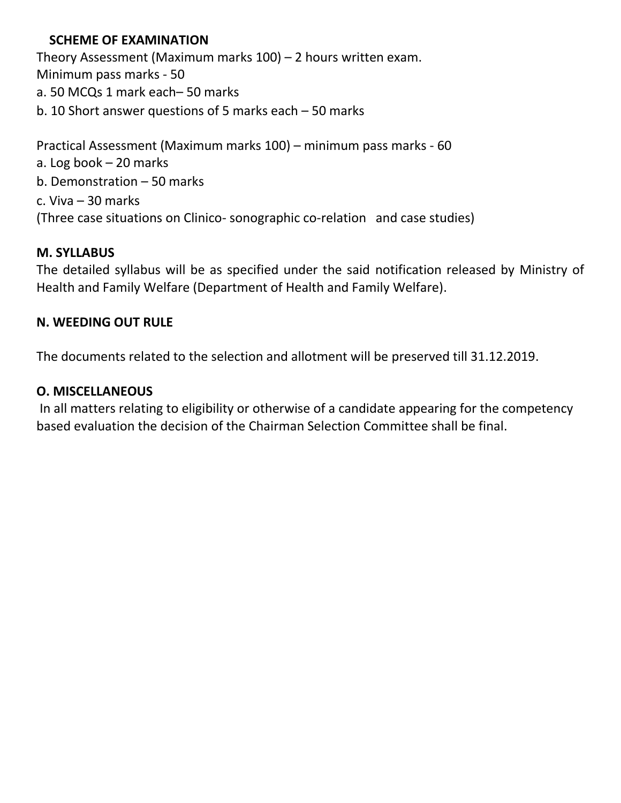### **SCHEME OF EXAMINATION**

Theory Assessment (Maximum marks 100) – 2 hours written exam. Minimum pass marks - 50 a. 50 MCQs 1 mark each– 50 marks b. 10 Short answer questions of 5 marks each – 50 marks Practical Assessment (Maximum marks 100) – minimum pass marks - 60 a. Log book – 20 marks b. Demonstration – 50 marks

c. Viva – 30 marks (Three case situations on Clinico- sonographic co-relation and case studies)

### **M. SYLLABUS**

The detailed syllabus will be as specified under the said notification released by Ministry of Health and Family Welfare (Department of Health and Family Welfare).

### **N. WEEDING OUT RULE**

The documents related to the selection and allotment will be preserved till 31.12.2019.

### **O. MISCELLANEOUS**

In all matters relating to eligibility or otherwise of a candidate appearing for the competency based evaluation the decision of the Chairman Selection Committee shall be final.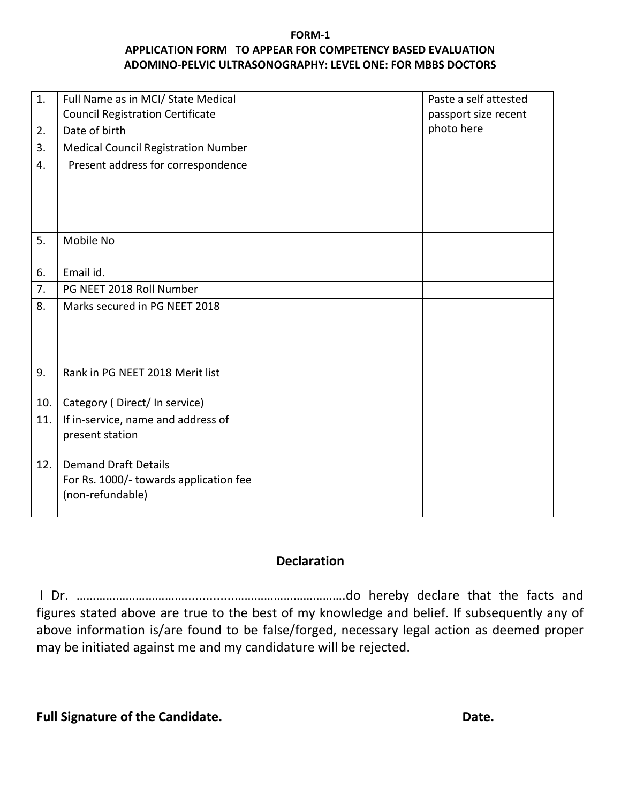#### **FORM-1 APPLICATION FORM TO APPEAR FOR COMPETENCY BASED EVALUATION ADOMINO-PELVIC ULTRASONOGRAPHY: LEVEL ONE: FOR MBBS DOCTORS**

| 1.  | Full Name as in MCI/ State Medical         | Paste a self attested |
|-----|--------------------------------------------|-----------------------|
|     | <b>Council Registration Certificate</b>    | passport size recent  |
| 2.  | Date of birth                              | photo here            |
| 3.  | <b>Medical Council Registration Number</b> |                       |
| 4.  | Present address for correspondence         |                       |
|     |                                            |                       |
|     |                                            |                       |
|     |                                            |                       |
| 5.  | Mobile No                                  |                       |
|     |                                            |                       |
| 6.  | Email id.                                  |                       |
| 7.  | PG NEET 2018 Roll Number                   |                       |
| 8.  | Marks secured in PG NEET 2018              |                       |
|     |                                            |                       |
|     |                                            |                       |
|     |                                            |                       |
| 9.  | Rank in PG NEET 2018 Merit list            |                       |
| 10. |                                            |                       |
|     | Category (Direct/In service)               |                       |
| 11. | If in-service, name and address of         |                       |
|     | present station                            |                       |
| 12. | <b>Demand Draft Details</b>                |                       |
|     | For Rs. 1000/- towards application fee     |                       |
|     | (non-refundable)                           |                       |
|     |                                            |                       |

### **Declaration**

I Dr. ……………………………..............…………………………….do hereby declare that the facts and figures stated above are true to the best of my knowledge and belief. If subsequently any of above information is/are found to be false/forged, necessary legal action as deemed proper may be initiated against me and my candidature will be rejected.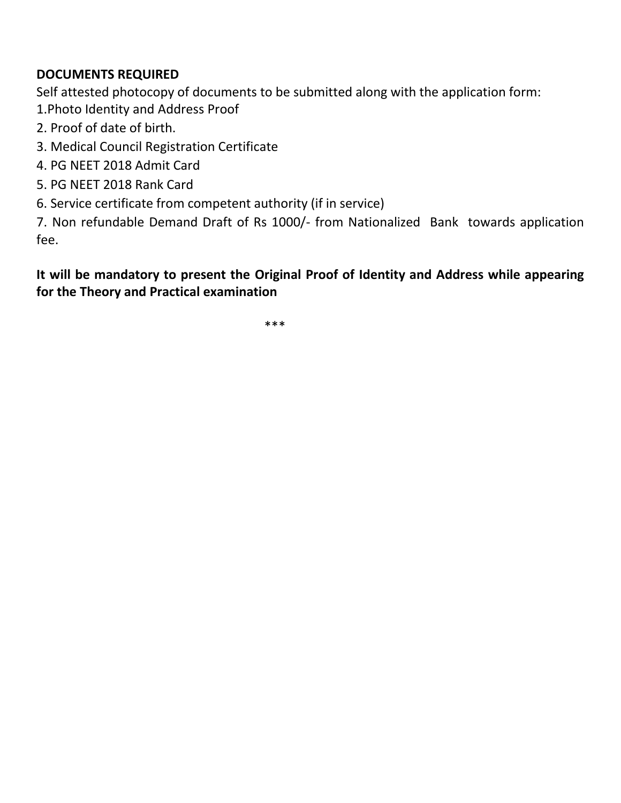### **DOCUMENTS REQUIRED**

Self attested photocopy of documents to be submitted along with the application form: 1.Photo Identity and Address Proof

- 2. Proof of date of birth.
- 3. Medical Council Registration Certificate
- 4. PG NEET 2018 Admit Card
- 5. PG NEET 2018 Rank Card
- 6. Service certificate from competent authority (if in service)

7. Non refundable Demand Draft of Rs 1000/- from Nationalized Bank towards application fee.

**It will be mandatory to present the Original Proof of Identity and Address while appearing for the Theory and Practical examination** 

\*\*\*\*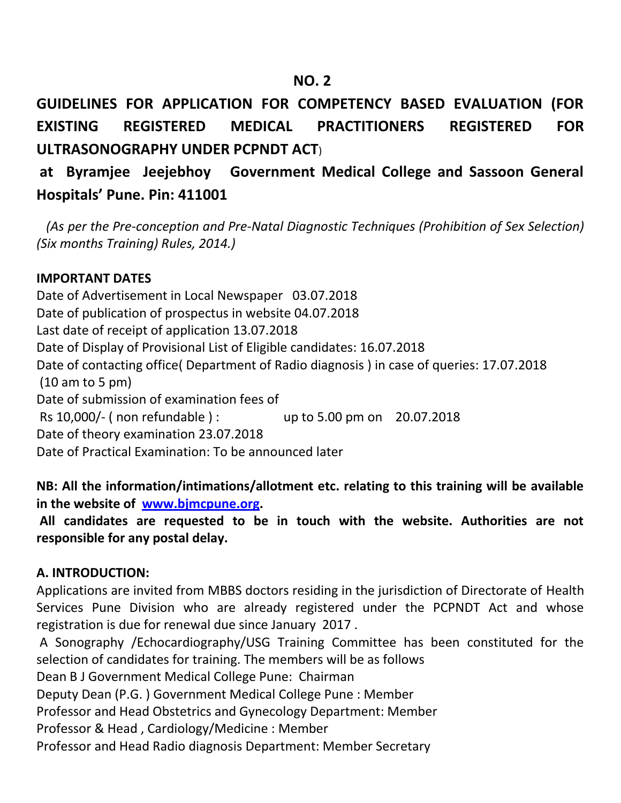## **NO. 2 NO. 2**

**GUIDELINES FOR APPLICATION FOR COMPETENCY BASED EVALUATION (FOR EXISTING REGISTERED MEDICAL PRACTITIONERS REGISTERED FOR ULTRASONOGRAPHY UNDER PCPNDT ACT**)

# **at Byramjee Jeejebhoy Government Medical College and Sassoon General Hospitals' Pune. Pin: 411001**

 *(As per the Pre-conception and Pre-Natal Diagnostic Techniques (Prohibition of Sex Selection) (Six months Training) Rules, 2014.)* 

### **IMPORTANT DATES**

Date of Advertisement in Local Newspaper 03.07.2018 Date of publication of prospectus in website 04.07.2018 Last date of receipt of application 13.07.2018 Date of Display of Provisional List of Eligible candidates: 16.07.2018 Date of contacting office( Department of Radio diagnosis ) in case of queries: 17.07.2018 (10 am to 5 pm) Date of submission of examination fees of Rs 10,000/- ( non refundable ) : up to 5.00 pm on 20.07.2018 Date of theory examination 23.07.2018 Date of Practical Examination: To be announced later

**NB: All the information/intimations/allotment etc. relating to this training will be available in the website of [www.bjmcpune.org.](http://www.bjmcpune.org/)**

**All candidates are requested to be in touch with the website. Authorities are not responsible for any postal delay.** 

### **A. INTRODUCTION:**

Applications are invited from MBBS doctors residing in the jurisdiction of Directorate of Health Services Pune Division who are already registered under the PCPNDT Act and whose registration is due for renewal due since January 2017 .

A Sonography /Echocardiography/USG Training Committee has been constituted for the selection of candidates for training. The members will be as follows

Dean B J Government Medical College Pune: Chairman

Deputy Dean (P.G. ) Government Medical College Pune : Member

Professor and Head Obstetrics and Gynecology Department: Member

Professor & Head , Cardiology/Medicine : Member

Professor and Head Radio diagnosis Department: Member Secretary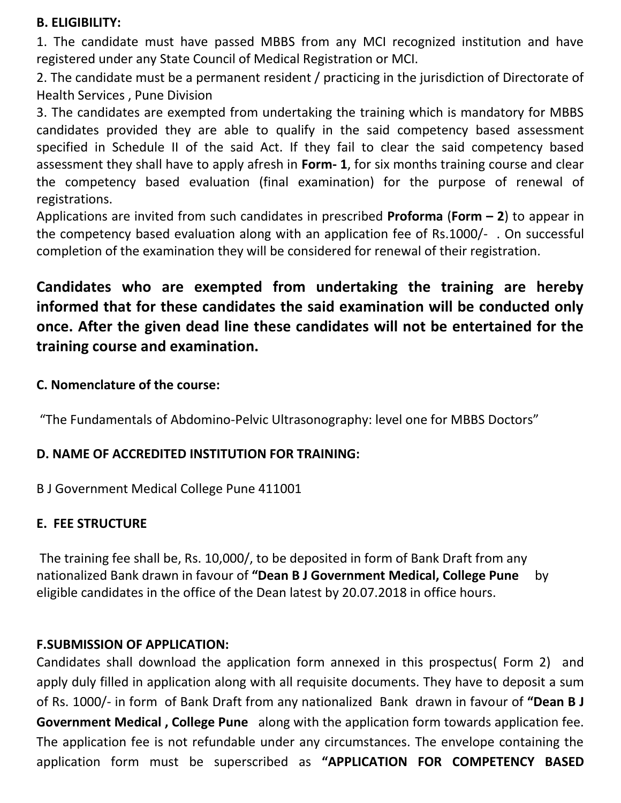### **B. ELIGIBILITY:**

1. The candidate must have passed MBBS from any MCI recognized institution and have registered under any State Council of Medical Registration or MCI.

2. The candidate must be a permanent resident / practicing in the jurisdiction of Directorate of Health Services , Pune Division

3. The candidates are exempted from undertaking the training which is mandatory for MBBS candidates provided they are able to qualify in the said competency based assessment specified in Schedule II of the said Act. If they fail to clear the said competency based assessment they shall have to apply afresh in **Form- 1**, for six months training course and clear the competency based evaluation (final examination) for the purpose of renewal of registrations.

Applications are invited from such candidates in prescribed **Proforma** (**Form – 2**) to appear in the competency based evaluation along with an application fee of Rs.1000/- . On successful completion of the examination they will be considered for renewal of their registration.

# **Candidates who are exempted from undertaking the training are hereby informed that for these candidates the said examination will be conducted only once. After the given dead line these candidates will not be entertained for the training course and examination.**

### **C. Nomenclature of the course:**

"The Fundamentals of Abdomino-Pelvic Ultrasonography: level one for MBBS Doctors"

### **D. NAME OF ACCREDITED INSTITUTION FOR TRAINING:**

B J Government Medical College Pune 411001

### **E. FEE STRUCTURE**

The training fee shall be, Rs. 10,000/, to be deposited in form of Bank Draft from any nationalized Bank drawn in favour of **"Dean B J Government Medical, College Pune** by eligible candidates in the office of the Dean latest by 20.07.2018 in office hours.

### **F.SUBMISSION OF APPLICATION:**

Candidates shall download the application form annexed in this prospectus( Form 2) and apply duly filled in application along with all requisite documents. They have to deposit a sum of Rs. 1000/- in form of Bank Draft from any nationalized Bank drawn in favour of **"Dean B J Government Medical , College Pune** along with the application form towards application fee. The application fee is not refundable under any circumstances. The envelope containing the application form must be superscribed as **"APPLICATION FOR COMPETENCY BASED**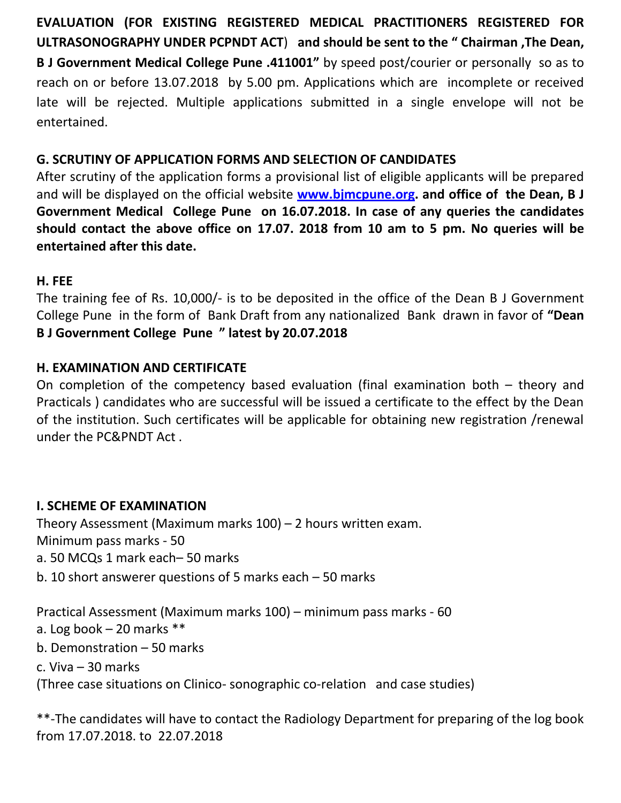**EVALUATION (FOR EXISTING REGISTERED MEDICAL PRACTITIONERS REGISTERED FOR ULTRASONOGRAPHY UNDER PCPNDT ACT**) **and should be sent to the " Chairman ,The Dean, B J Government Medical College Pune .411001"** by speed post/courier or personally so as to reach on or before 13.07.2018 by 5.00 pm. Applications which are incomplete or received late will be rejected. Multiple applications submitted in a single envelope will not be entertained.

### **G. SCRUTINY OF APPLICATION FORMS AND SELECTION OF CANDIDATES**

After scrutiny of the application forms a provisional list of eligible applicants will be prepared and will be displayed on the official website **[www.bjmcpune.org.](http://www.bjmcpune.org/) and office of the Dean, B J Government Medical College Pune on 16.07.2018. In case of any queries the candidates should contact the above office on 17.07. 2018 from 10 am to 5 pm. No queries will be entertained after this date.**

### **H. FEE**

The training fee of Rs. 10,000/- is to be deposited in the office of the Dean B J Government College Pune in the form of Bank Draft from any nationalized Bank drawn in favor of **"Dean B J Government College Pune " latest by 20.07.2018**

### **H. EXAMINATION AND CERTIFICATE**

On completion of the competency based evaluation (final examination both – theory and Practicals ) candidates who are successful will be issued a certificate to the effect by the Dean of the institution. Such certificates will be applicable for obtaining new registration /renewal under the PC&PNDT Act .

### **I. SCHEME OF EXAMINATION**

Theory Assessment (Maximum marks 100) – 2 hours written exam. Minimum pass marks - 50

- a. 50 MCQs 1 mark each– 50 marks
- b. 10 short answerer questions of 5 marks each 50 marks

Practical Assessment (Maximum marks 100) – minimum pass marks - 60

- a. Log book  $-20$  marks  $**$
- b. Demonstration 50 marks
- c. Viva 30 marks

(Three case situations on Clinico- sonographic co-relation and case studies)

\*\*-The candidates will have to contact the Radiology Department for preparing of the log book from 17.07.2018. to 22.07.2018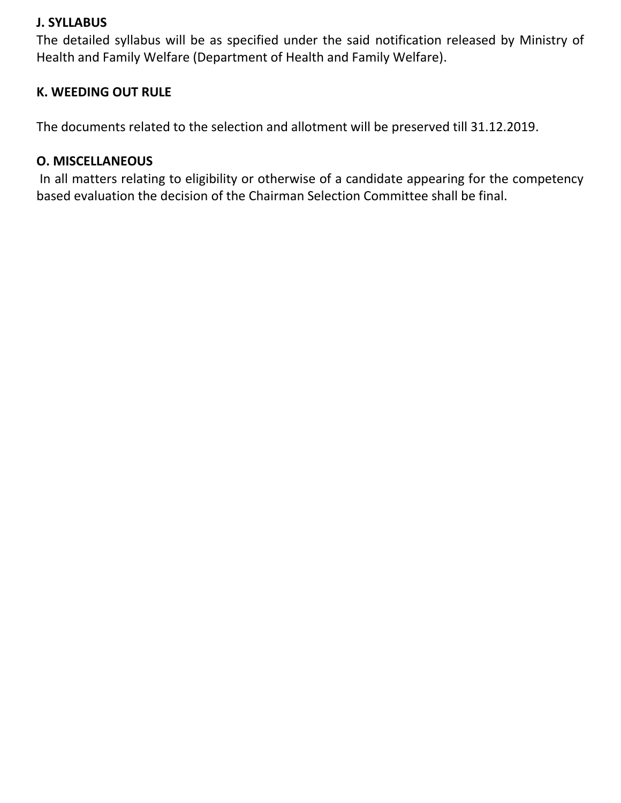### **J. SYLLABUS**

The detailed syllabus will be as specified under the said notification released by Ministry of Health and Family Welfare (Department of Health and Family Welfare).

### **K. WEEDING OUT RULE**

The documents related to the selection and allotment will be preserved till 31.12.2019.

### **O. MISCELLANEOUS**

In all matters relating to eligibility or otherwise of a candidate appearing for the competency based evaluation the decision of the Chairman Selection Committee shall be final.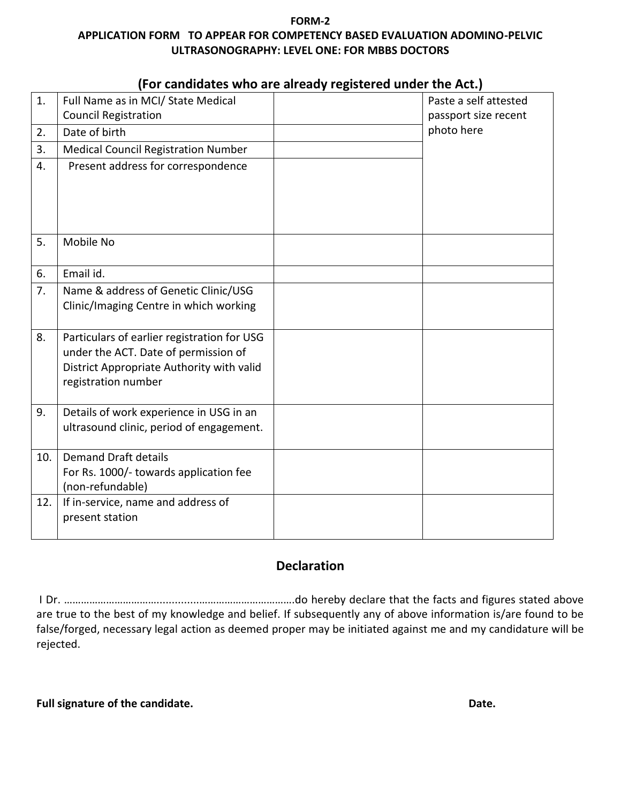#### **FORM-2 APPLICATION FORM TO APPEAR FOR COMPETENCY BASED EVALUATION ADOMINO-PELVIC ULTRASONOGRAPHY: LEVEL ONE: FOR MBBS DOCTORS**

|     | rui candidates who are alleady registered diluer the Act.)                          |  |                       |  |  |
|-----|-------------------------------------------------------------------------------------|--|-----------------------|--|--|
| 1.  | Full Name as in MCI/ State Medical                                                  |  | Paste a self attested |  |  |
|     | <b>Council Registration</b>                                                         |  | passport size recent  |  |  |
| 2.  | Date of birth                                                                       |  | photo here            |  |  |
| 3.  | <b>Medical Council Registration Number</b>                                          |  |                       |  |  |
| 4.  | Present address for correspondence                                                  |  |                       |  |  |
|     |                                                                                     |  |                       |  |  |
|     |                                                                                     |  |                       |  |  |
| 5.  | Mobile No                                                                           |  |                       |  |  |
|     |                                                                                     |  |                       |  |  |
| 6.  | Email id.                                                                           |  |                       |  |  |
| 7.  | Name & address of Genetic Clinic/USG                                                |  |                       |  |  |
|     | Clinic/Imaging Centre in which working                                              |  |                       |  |  |
|     |                                                                                     |  |                       |  |  |
| 8.  | Particulars of earlier registration for USG<br>under the ACT. Date of permission of |  |                       |  |  |
|     | District Appropriate Authority with valid                                           |  |                       |  |  |
|     | registration number                                                                 |  |                       |  |  |
|     |                                                                                     |  |                       |  |  |
| 9.  | Details of work experience in USG in an                                             |  |                       |  |  |
|     | ultrasound clinic, period of engagement.                                            |  |                       |  |  |
| 10. | <b>Demand Draft details</b>                                                         |  |                       |  |  |
|     | For Rs. 1000/- towards application fee                                              |  |                       |  |  |
|     | (non-refundable)                                                                    |  |                       |  |  |
| 12. | If in-service, name and address of                                                  |  |                       |  |  |
|     | present station                                                                     |  |                       |  |  |
|     |                                                                                     |  |                       |  |  |

### **(For candidates who are already registered under the Act.)**

### **Declaration**

I Dr. ……………………………..............…………………………….do hereby declare that the facts and figures stated above are true to the best of my knowledge and belief. If subsequently any of above information is/are found to be false/forged, necessary legal action as deemed proper may be initiated against me and my candidature will be rejected.

| Full signature of the candidate. | Date. |
|----------------------------------|-------|
|                                  |       |